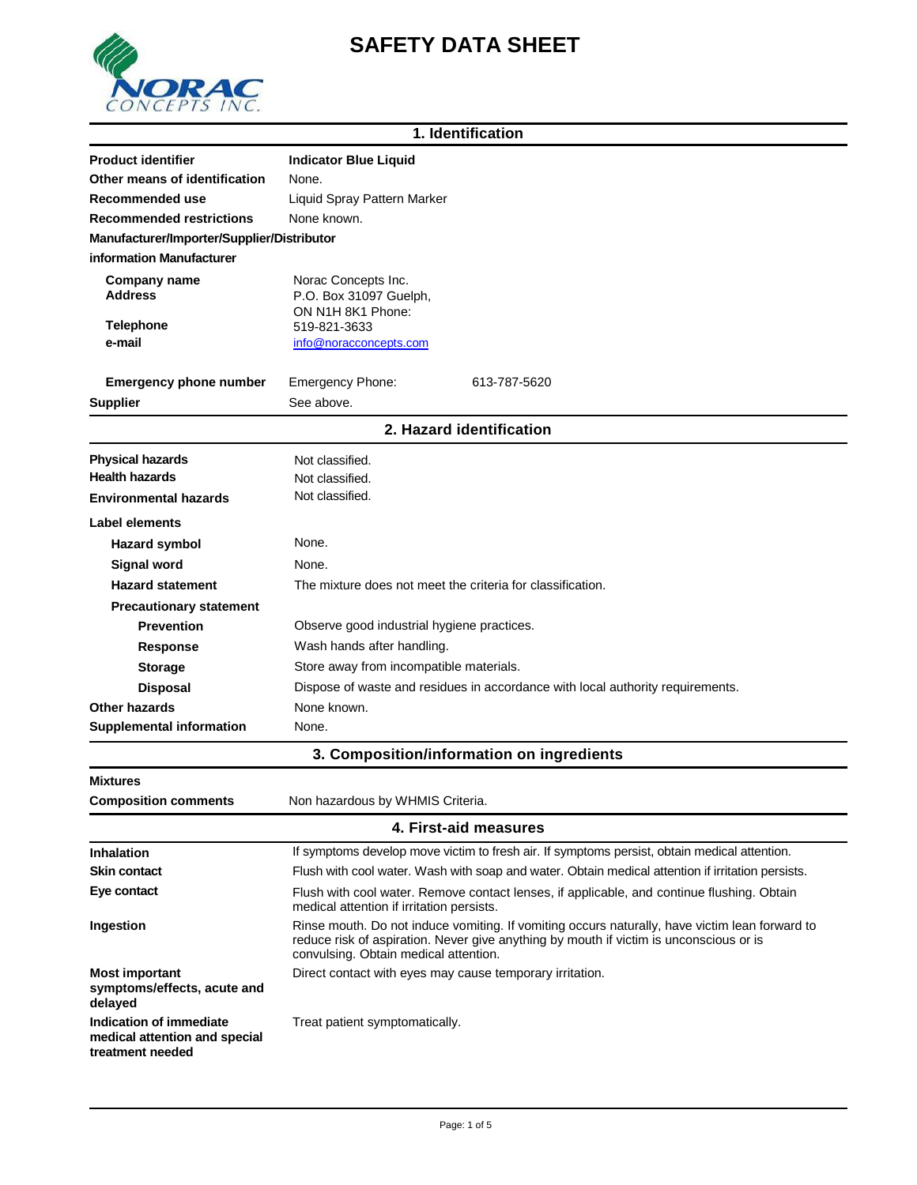## **SAFETY DATA SHEET**



| 1. Identification                          |                                                                                              |  |
|--------------------------------------------|----------------------------------------------------------------------------------------------|--|
| <b>Product identifier</b>                  | <b>Indicator Blue Liquid</b>                                                                 |  |
| Other means of identification              | None.                                                                                        |  |
| Recommended use                            | Liquid Spray Pattern Marker                                                                  |  |
| <b>Recommended restrictions</b>            | None known.                                                                                  |  |
| Manufacturer/Importer/Supplier/Distributor |                                                                                              |  |
| information Manufacturer                   |                                                                                              |  |
| <b>Company name</b><br><b>Address</b>      | Norac Concepts Inc.<br>P.O. Box 31097 Guelph,<br>ON N1H 8K1 Phone:                           |  |
| <b>Telephone</b>                           | 519-821-3633                                                                                 |  |
| e-mail                                     | info@noracconcepts.com                                                                       |  |
| <b>Emergency phone number</b>              | <b>Emergency Phone:</b><br>613-787-5620                                                      |  |
| <b>Supplier</b>                            | See above.                                                                                   |  |
|                                            | 2. Hazard identification                                                                     |  |
| <b>Physical hazards</b>                    | Not classified.                                                                              |  |
| <b>Health hazards</b>                      | Not classified.                                                                              |  |
| <b>Environmental hazards</b>               | Not classified.                                                                              |  |
| Label elements                             |                                                                                              |  |
| <b>Hazard symbol</b>                       | None.                                                                                        |  |
| <b>Signal word</b>                         | None.                                                                                        |  |
| <b>Hazard statement</b>                    | The mixture does not meet the criteria for classification.                                   |  |
| <b>Precautionary statement</b>             |                                                                                              |  |
| <b>Prevention</b>                          | Observe good industrial hygiene practices.                                                   |  |
| Response                                   | Wash hands after handling.                                                                   |  |
| <b>Storage</b>                             | Store away from incompatible materials.                                                      |  |
| <b>Disposal</b>                            | Dispose of waste and residues in accordance with local authority requirements.               |  |
| <b>Other hazards</b>                       | None known.                                                                                  |  |
| <b>Supplemental information</b>            | None.                                                                                        |  |
|                                            | 3. Composition/information on ingredients                                                    |  |
| <b>Mixtures</b>                            |                                                                                              |  |
| <b>Composition comments</b>                | Non hazardous by WHMIS Criteria.                                                             |  |
|                                            | 4. First-aid measures                                                                        |  |
| Inhalation                                 | If symptoms develop move victim to fresh air. If symptoms persist, obtain medical attention. |  |

| <b>Inhalation</b>                                                            | If symptoms develop move victim to fresh air. If symptoms persist, obtain medical attention.                                                                                                                                      |  |
|------------------------------------------------------------------------------|-----------------------------------------------------------------------------------------------------------------------------------------------------------------------------------------------------------------------------------|--|
| <b>Skin contact</b>                                                          | Flush with cool water. Wash with soap and water. Obtain medical attention if irritation persists.                                                                                                                                 |  |
| Eye contact                                                                  | Flush with cool water. Remove contact lenses, if applicable, and continue flushing. Obtain<br>medical attention if irritation persists.                                                                                           |  |
| Ingestion                                                                    | Rinse mouth. Do not induce vomiting. If vomiting occurs naturally, have victim lean forward to<br>reduce risk of aspiration. Never give anything by mouth if victim is unconscious or is<br>convulsing. Obtain medical attention. |  |
| <b>Most important</b><br>symptoms/effects, acute and<br>delayed              | Direct contact with eyes may cause temporary irritation.                                                                                                                                                                          |  |
| Indication of immediate<br>medical attention and special<br>treatment needed | Treat patient symptomatically.                                                                                                                                                                                                    |  |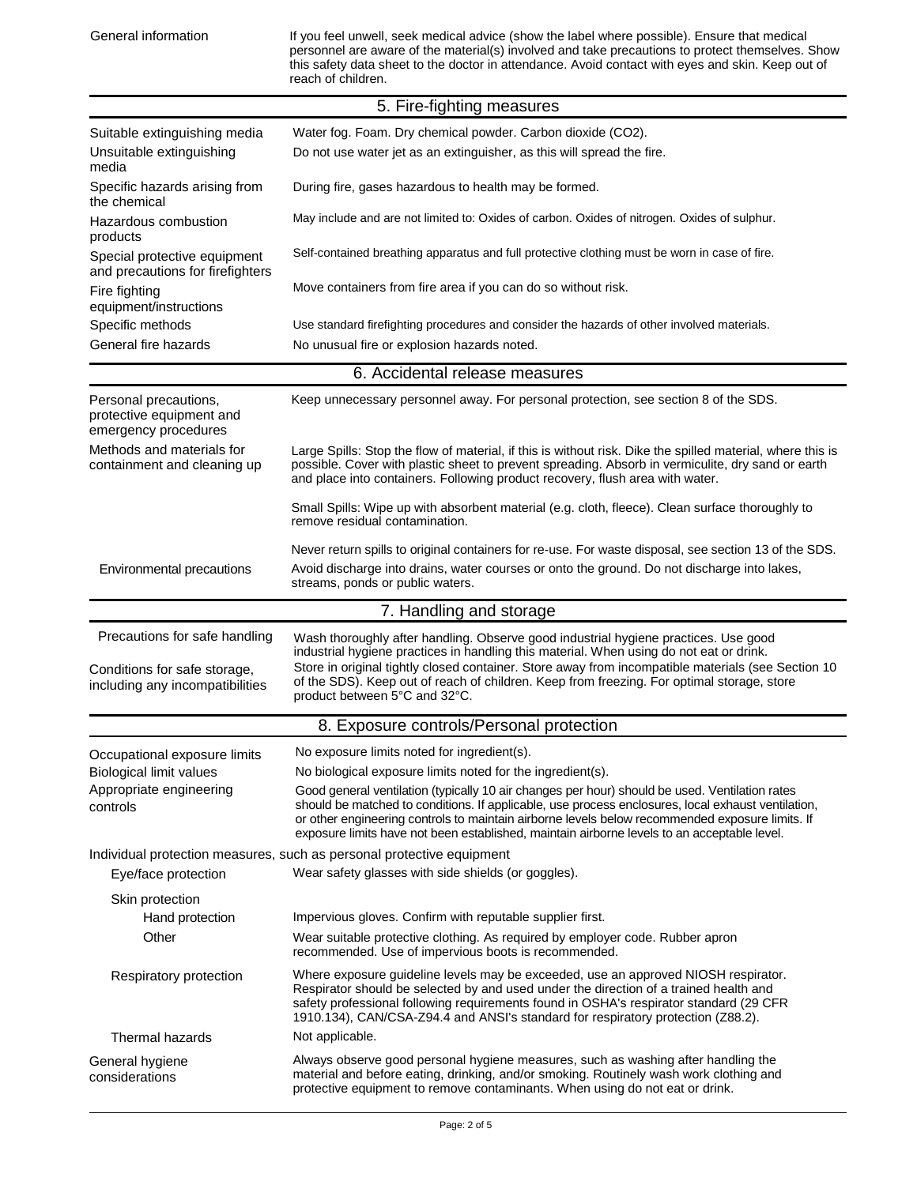| General information                                                       | If you feel unwell, seek medical advice (show the label where possible). Ensure that medical<br>personnel are aware of the material(s) involved and take precautions to protect themselves. Show<br>this safety data sheet to the doctor in attendance. Avoid contact with eyes and skin. Keep out of<br>reach of children.                                                                            |  |
|---------------------------------------------------------------------------|--------------------------------------------------------------------------------------------------------------------------------------------------------------------------------------------------------------------------------------------------------------------------------------------------------------------------------------------------------------------------------------------------------|--|
|                                                                           | 5. Fire-fighting measures                                                                                                                                                                                                                                                                                                                                                                              |  |
| Suitable extinguishing media                                              | Water fog. Foam. Dry chemical powder. Carbon dioxide (CO2).                                                                                                                                                                                                                                                                                                                                            |  |
| Unsuitable extinguishing<br>media                                         | Do not use water jet as an extinguisher, as this will spread the fire.                                                                                                                                                                                                                                                                                                                                 |  |
| Specific hazards arising from<br>the chemical                             | During fire, gases hazardous to health may be formed.                                                                                                                                                                                                                                                                                                                                                  |  |
| Hazardous combustion<br>products                                          | May include and are not limited to: Oxides of carbon. Oxides of nitrogen. Oxides of sulphur.                                                                                                                                                                                                                                                                                                           |  |
| Special protective equipment<br>and precautions for firefighters          | Self-contained breathing apparatus and full protective clothing must be worn in case of fire.                                                                                                                                                                                                                                                                                                          |  |
| Fire fighting<br>equipment/instructions                                   | Move containers from fire area if you can do so without risk.                                                                                                                                                                                                                                                                                                                                          |  |
| Specific methods                                                          | Use standard firefighting procedures and consider the hazards of other involved materials.                                                                                                                                                                                                                                                                                                             |  |
| General fire hazards                                                      | No unusual fire or explosion hazards noted.                                                                                                                                                                                                                                                                                                                                                            |  |
|                                                                           | 6. Accidental release measures                                                                                                                                                                                                                                                                                                                                                                         |  |
| Personal precautions,<br>protective equipment and<br>emergency procedures | Keep unnecessary personnel away. For personal protection, see section 8 of the SDS.                                                                                                                                                                                                                                                                                                                    |  |
| Methods and materials for<br>containment and cleaning up                  | Large Spills: Stop the flow of material, if this is without risk. Dike the spilled material, where this is<br>possible. Cover with plastic sheet to prevent spreading. Absorb in vermiculite, dry sand or earth<br>and place into containers. Following product recovery, flush area with water.                                                                                                       |  |
|                                                                           | Small Spills: Wipe up with absorbent material (e.g. cloth, fleece). Clean surface thoroughly to<br>remove residual contamination.                                                                                                                                                                                                                                                                      |  |
|                                                                           | Never return spills to original containers for re-use. For waste disposal, see section 13 of the SDS.                                                                                                                                                                                                                                                                                                  |  |
| Environmental precautions                                                 | Avoid discharge into drains, water courses or onto the ground. Do not discharge into lakes,<br>streams, ponds or public waters.                                                                                                                                                                                                                                                                        |  |
|                                                                           | 7. Handling and storage                                                                                                                                                                                                                                                                                                                                                                                |  |
| Precautions for safe handling                                             | Wash thoroughly after handling. Observe good industrial hygiene practices. Use good<br>industrial hygiene practices in handling this material. When using do not eat or drink.                                                                                                                                                                                                                         |  |
| Conditions for safe storage,<br>including any incompatibilities           | Store in original tightly closed container. Store away from incompatible materials (see Section 10<br>of the SDS). Keep out of reach of children. Keep from freezing. For optimal storage, store<br>product between 5°C and 32°C.                                                                                                                                                                      |  |
|                                                                           | 8. Exposure controls/Personal protection                                                                                                                                                                                                                                                                                                                                                               |  |
| Occupational exposure limits                                              | No exposure limits noted for ingredient(s).                                                                                                                                                                                                                                                                                                                                                            |  |
| <b>Biological limit values</b>                                            | No biological exposure limits noted for the ingredient(s).                                                                                                                                                                                                                                                                                                                                             |  |
| Appropriate engineering<br>controls                                       | Good general ventilation (typically 10 air changes per hour) should be used. Ventilation rates<br>should be matched to conditions. If applicable, use process enclosures, local exhaust ventilation,<br>or other engineering controls to maintain airborne levels below recommended exposure limits. If<br>exposure limits have not been established, maintain airborne levels to an acceptable level. |  |
|                                                                           | Individual protection measures, such as personal protective equipment                                                                                                                                                                                                                                                                                                                                  |  |
| Eye/face protection                                                       | Wear safety glasses with side shields (or goggles).                                                                                                                                                                                                                                                                                                                                                    |  |
| Skin protection                                                           |                                                                                                                                                                                                                                                                                                                                                                                                        |  |
| Hand protection                                                           | Impervious gloves. Confirm with reputable supplier first.                                                                                                                                                                                                                                                                                                                                              |  |
| Other                                                                     | Wear suitable protective clothing. As required by employer code. Rubber apron<br>recommended. Use of impervious boots is recommended.                                                                                                                                                                                                                                                                  |  |
| Respiratory protection                                                    | Where exposure guideline levels may be exceeded, use an approved NIOSH respirator.<br>Respirator should be selected by and used under the direction of a trained health and<br>safety professional following requirements found in OSHA's respirator standard (29 CFR<br>1910.134), CAN/CSA-Z94.4 and ANSI's standard for respiratory protection (Z88.2).                                              |  |
| Thermal hazards                                                           | Not applicable.                                                                                                                                                                                                                                                                                                                                                                                        |  |
| General hygiene<br>considerations                                         | Always observe good personal hygiene measures, such as washing after handling the<br>material and before eating, drinking, and/or smoking. Routinely wash work clothing and<br>protective equipment to remove contaminants. When using do not eat or drink.                                                                                                                                            |  |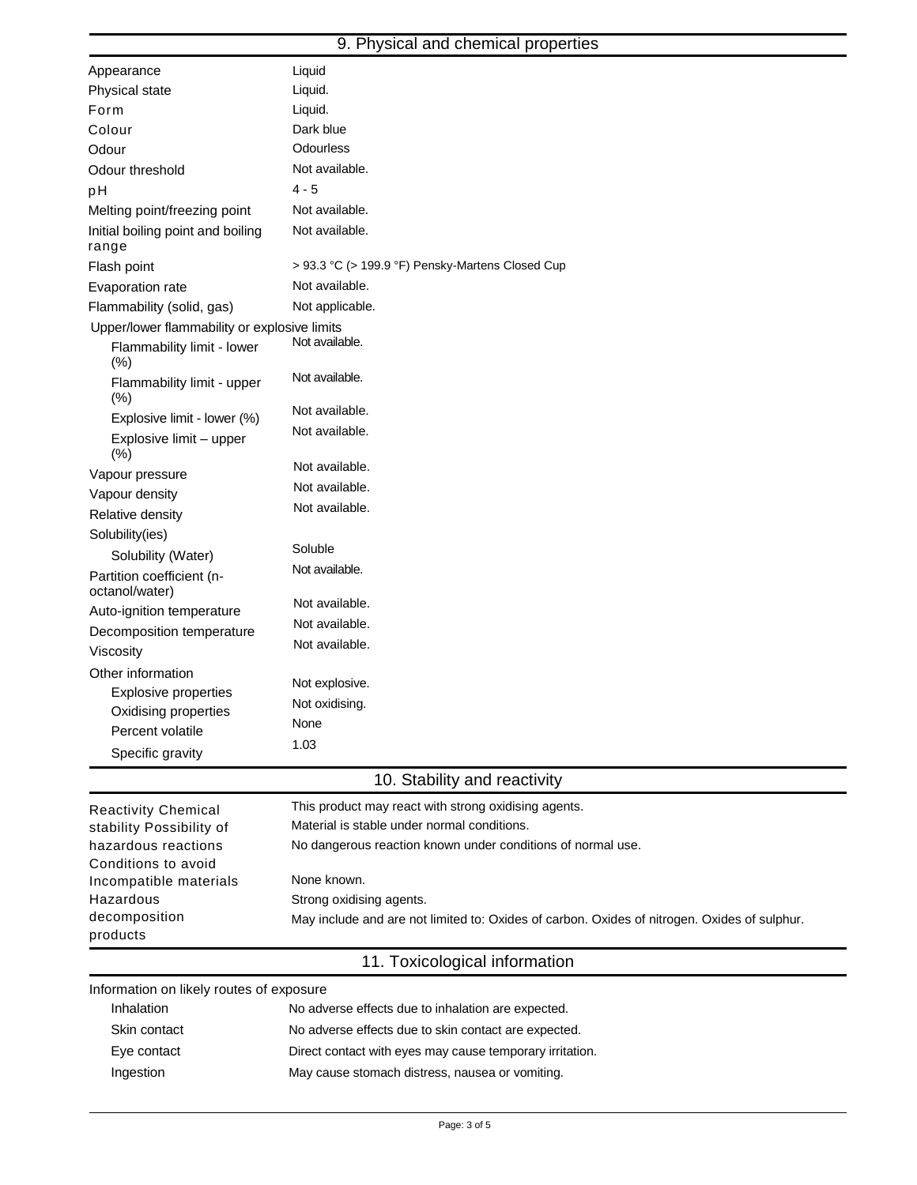## 9. Physical and chemical properties

| Appearance                                   | Liquid                                                                                       |
|----------------------------------------------|----------------------------------------------------------------------------------------------|
| Physical state                               | Liquid.                                                                                      |
| Form                                         | Liquid.                                                                                      |
| Colour                                       | Dark blue                                                                                    |
| Odour                                        | Odourless                                                                                    |
| Odour threshold                              | Not available.                                                                               |
| pH                                           | $4 - 5$                                                                                      |
| Melting point/freezing point                 | Not available.                                                                               |
| Initial boiling point and boiling<br>range   | Not available.                                                                               |
| Flash point                                  | > 93.3 °C (> 199.9 °F) Pensky-Martens Closed Cup                                             |
| Evaporation rate                             | Not available.                                                                               |
| Flammability (solid, gas)                    | Not applicable.                                                                              |
| Upper/lower flammability or explosive limits |                                                                                              |
| Flammability limit - lower<br>(% )           | Not available.                                                                               |
| Flammability limit - upper<br>(% )           | Not available.                                                                               |
| Explosive limit - lower (%)                  | Not available.                                                                               |
| Explosive limit - upper<br>(%)               | Not available.                                                                               |
| Vapour pressure                              | Not available.                                                                               |
| Vapour density                               | Not available.                                                                               |
| Relative density                             | Not available.                                                                               |
| Solubility(ies)                              |                                                                                              |
| Solubility (Water)                           | Soluble                                                                                      |
| Partition coefficient (n-<br>octanol/water)  | Not available.                                                                               |
| Auto-ignition temperature                    | Not available.                                                                               |
| Decomposition temperature                    | Not available.                                                                               |
| Viscosity                                    | Not available.                                                                               |
| Other information                            |                                                                                              |
| <b>Explosive properties</b>                  | Not explosive.                                                                               |
| Oxidising properties                         | Not oxidising.                                                                               |
| Percent volatile                             | None                                                                                         |
| Specific gravity                             | 1.03                                                                                         |
|                                              | 10. Stability and reactivity                                                                 |
| <b>Reactivity Chemical</b>                   | This product may react with strong oxidising agents.                                         |
| stability Possibility of                     | Material is stable under normal conditions.                                                  |
| hazardous reactions                          | No dangerous reaction known under conditions of normal use.                                  |
| Conditions to avoid                          |                                                                                              |
| Incompatible materials                       | None known.                                                                                  |
| Hazardous                                    | Strong oxidising agents.                                                                     |
| decomposition<br>products                    | May include and are not limited to: Oxides of carbon. Oxides of nitrogen. Oxides of sulphur. |

11. Toxicological information

Information on likely routes of exposure

| <b>Inhalation</b> | No adverse effects due to inhalation are expected.       |
|-------------------|----------------------------------------------------------|
| Skin contact      | No adverse effects due to skin contact are expected.     |
| Eye contact       | Direct contact with eyes may cause temporary irritation. |
| Ingestion         | May cause stomach distress, nausea or vomiting.          |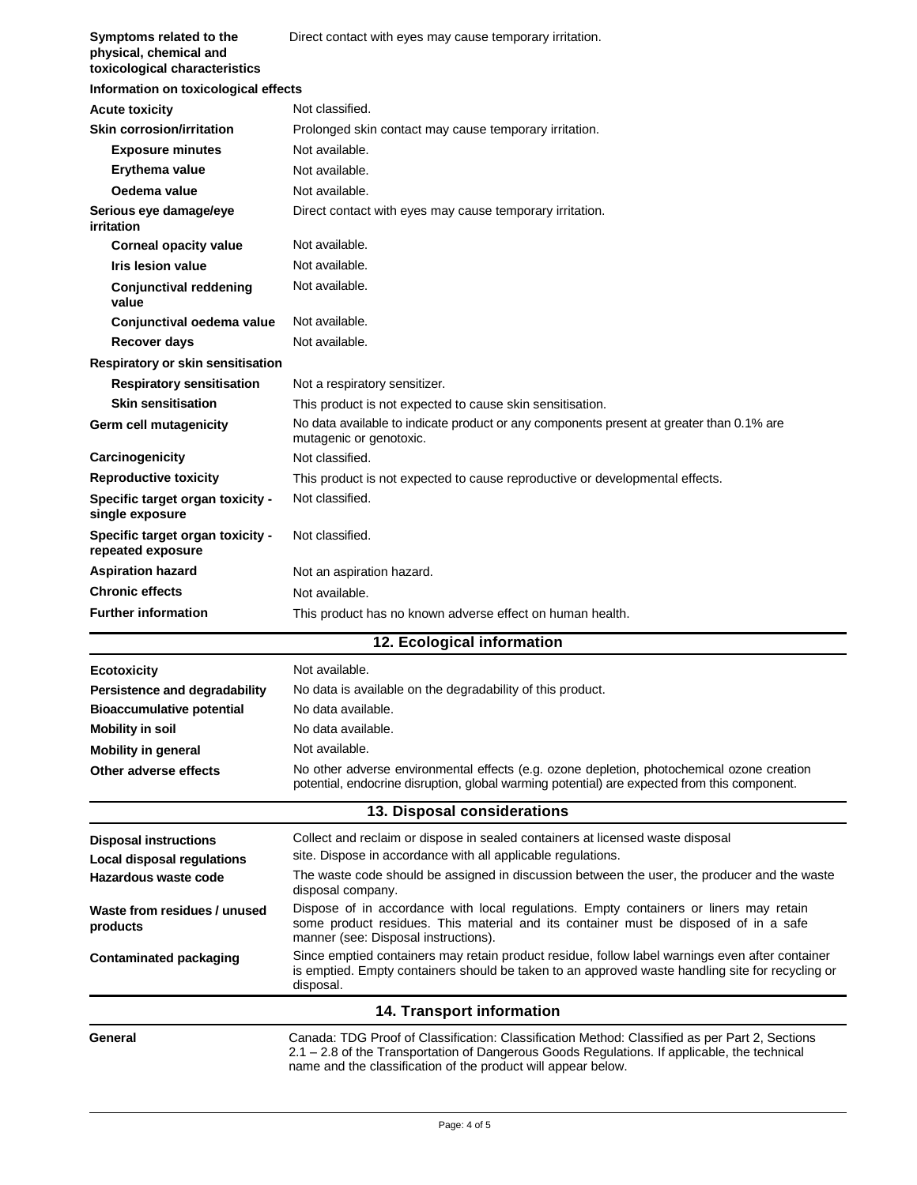| Symptoms related to the<br>physical, chemical and<br>toxicological characteristics | Direct contact with eyes may cause temporary irritation.                                                                                                                                                                                                        |  |
|------------------------------------------------------------------------------------|-----------------------------------------------------------------------------------------------------------------------------------------------------------------------------------------------------------------------------------------------------------------|--|
| Information on toxicological effects                                               |                                                                                                                                                                                                                                                                 |  |
| <b>Acute toxicity</b>                                                              | Not classified.                                                                                                                                                                                                                                                 |  |
| <b>Skin corrosion/irritation</b>                                                   | Prolonged skin contact may cause temporary irritation.                                                                                                                                                                                                          |  |
| <b>Exposure minutes</b>                                                            | Not available.                                                                                                                                                                                                                                                  |  |
| Erythema value                                                                     | Not available.                                                                                                                                                                                                                                                  |  |
| Oedema value                                                                       | Not available.                                                                                                                                                                                                                                                  |  |
| Serious eye damage/eye<br>irritation                                               | Direct contact with eyes may cause temporary irritation.                                                                                                                                                                                                        |  |
| <b>Corneal opacity value</b>                                                       | Not available.                                                                                                                                                                                                                                                  |  |
| Iris lesion value                                                                  | Not available.                                                                                                                                                                                                                                                  |  |
| <b>Conjunctival reddening</b><br>value                                             | Not available.                                                                                                                                                                                                                                                  |  |
| Conjunctival oedema value                                                          | Not available.                                                                                                                                                                                                                                                  |  |
| Recover days                                                                       | Not available.                                                                                                                                                                                                                                                  |  |
| Respiratory or skin sensitisation                                                  |                                                                                                                                                                                                                                                                 |  |
| <b>Respiratory sensitisation</b>                                                   | Not a respiratory sensitizer.                                                                                                                                                                                                                                   |  |
| <b>Skin sensitisation</b>                                                          | This product is not expected to cause skin sensitisation.                                                                                                                                                                                                       |  |
| Germ cell mutagenicity                                                             | No data available to indicate product or any components present at greater than 0.1% are<br>mutagenic or genotoxic.                                                                                                                                             |  |
| Carcinogenicity                                                                    | Not classified.                                                                                                                                                                                                                                                 |  |
| <b>Reproductive toxicity</b>                                                       | This product is not expected to cause reproductive or developmental effects.                                                                                                                                                                                    |  |
| Specific target organ toxicity -<br>single exposure                                | Not classified.                                                                                                                                                                                                                                                 |  |
| Specific target organ toxicity -<br>repeated exposure                              | Not classified.                                                                                                                                                                                                                                                 |  |
| <b>Aspiration hazard</b>                                                           | Not an aspiration hazard.                                                                                                                                                                                                                                       |  |
| <b>Chronic effects</b>                                                             | Not available.                                                                                                                                                                                                                                                  |  |
| <b>Further information</b>                                                         | This product has no known adverse effect on human health.                                                                                                                                                                                                       |  |
|                                                                                    | 12. Ecological information                                                                                                                                                                                                                                      |  |
| <b>Ecotoxicity</b>                                                                 | Not available.                                                                                                                                                                                                                                                  |  |
| Persistence and degradability                                                      | No data is available on the degradability of this product.                                                                                                                                                                                                      |  |
| <b>Bioaccumulative potential</b>                                                   | No data available.                                                                                                                                                                                                                                              |  |
| <b>Mobility in soil</b>                                                            | No data available.                                                                                                                                                                                                                                              |  |
| <b>Mobility in general</b>                                                         | Not available.                                                                                                                                                                                                                                                  |  |
| Other adverse effects                                                              | No other adverse environmental effects (e.g. ozone depletion, photochemical ozone creation<br>potential, endocrine disruption, global warming potential) are expected from this component.                                                                      |  |
|                                                                                    | 13. Disposal considerations                                                                                                                                                                                                                                     |  |
| <b>Disposal instructions</b>                                                       | Collect and reclaim or dispose in sealed containers at licensed waste disposal                                                                                                                                                                                  |  |
| Local disposal regulations                                                         | site. Dispose in accordance with all applicable regulations.                                                                                                                                                                                                    |  |
| Hazardous waste code                                                               | The waste code should be assigned in discussion between the user, the producer and the waste<br>disposal company.                                                                                                                                               |  |
| Waste from residues / unused<br>products                                           | Dispose of in accordance with local regulations. Empty containers or liners may retain<br>some product residues. This material and its container must be disposed of in a safe<br>manner (see: Disposal instructions).                                          |  |
| <b>Contaminated packaging</b>                                                      | Since emptied containers may retain product residue, follow label warnings even after container<br>is emptied. Empty containers should be taken to an approved waste handling site for recycling or<br>disposal.                                                |  |
|                                                                                    | 14. Transport information                                                                                                                                                                                                                                       |  |
| General                                                                            | Canada: TDG Proof of Classification: Classification Method: Classified as per Part 2, Sections<br>2.1 - 2.8 of the Transportation of Dangerous Goods Regulations. If applicable, the technical<br>name and the classification of the product will appear below. |  |